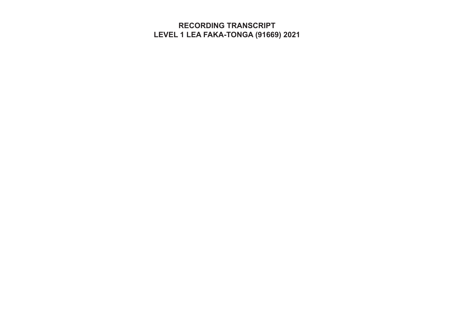**RECORDING TRANSCRIPT LEVEL 1 LEA FAKA-TONGA (91669) 2021**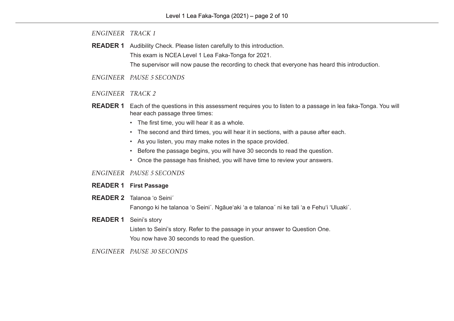**READER 1** Audibility Check. Please listen carefully to this introduction. This exam is NCEA Level 1 Lea Faka-Tonga for 2021.

The supervisor will now pause the recording to check that everyone has heard this introduction.

- *ENGINEER PAUSE 5 SECONDS*
- *ENGINEER TRACK 2*
- **READER 1** Each of the questions in this assessment requires you to listen to a passage in lea faka-Tonga. You will hear each passage three times:
	- The first time, you will hear it as a whole.
	- The second and third times, you will hear it in sections, with a pause after each.
	- As you listen, you may make notes in the space provided.
	- Before the passage begins, you will have 30 seconds to read the question.
	- Once the passage has finished, you will have time to review your answers.

### *ENGINEER PAUSE 5 SECONDS*

- **READER 1 First Passage**
- **READER 2** Talanoa ʻo Seini´

Fanongo ki he talanoa ʻo Seiniˊ. Ngāueʻaki ʻa e talanoaˊ ni ke tali ʻa e Fehuʻi ʻUluakiˊ.

## **READER 1** Seini's story

Listen to Seini's story. Refer to the passage in your answer to Question One. You now have 30 seconds to read the question.

## *ENGINEER PAUSE 30 SECONDS*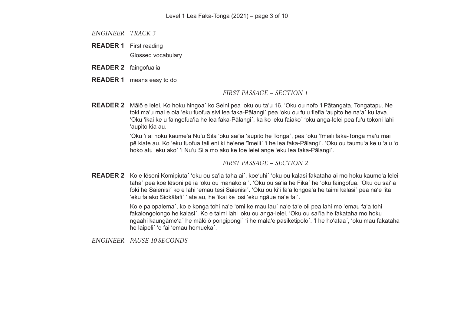**READER 1** First reading Glossed vocabulary

- **READER 2** faingofuaʻia
- **READER 1** means easy to do

### *FIRST PASSAGE – SECTION 1*

**READER 2** Mālō e lelei. Ko hoku hingoa´ ko Seini pea ʻoku ou taʻu 16. ʻOku ou nofo ʻi Pātangata, Tongatapu. Ne toki maʻu mai e ola ʻeku fuofua sivi lea faka-Pālangi´ pea ʻoku ou fuʻu fiefia ʻaupito he naʻa´ ku lava. ʻOku ʻikai ke u faingofuaʻia he lea faka-Pālangi´, ka ko ʻeku faiako´ ʻoku anga-lelei pea fuʻu tokoni lahi ʻaupito kia au.

> ʻOku ʻi ai hoku kaumeʻa Nuʻu Sila ʻoku saiʻia ʻaupito he Tonga´, pea ʻoku ʻīmeili faka-Tonga maʻu mai pē kiate au. Ko ʻeku fuofua tali eni ki heʻene ʻīmeili´ ʻi he lea faka-Pālangi´. ʻOku ou taumuʻa ke u ʻalu ʻo hoko atu ʻeku ako´ ʻi Nuʻu Sila mo ako ke toe lelei ange ʻeku lea faka-Pālangi´.

### *FIRST PASSAGE – SECTION 2*

**READER 2** Ko e lēsoni Komipiuta´ ʻoku ou saʻia taha ai´, koeʻuhi´ ʻoku ou kalasi fakataha ai mo hoku kaumeʻa lelei taha´ pea koe lēsoni pē ia ʻoku ou manako ai´. ʻOku ou saʻia he Fika´ he ʻoku faingofua. ʻOku ou saiʻia foki he Saienisi´ ko e lahi ʻemau tesi Saienisi´. ʻOku ou kiʻi faʻa longoaʻa he taimi kalasi´ pea naʻe ʻita ʻeku faiako Siokālafi´ ʻiate au, he ʻikai ke ʻosi ʻeku ngāue naʻe fai´.

> Ko e palopalema´, ko e konga tohi naʻe ʻomi ke mau lau´ naʻe taʻe oli pea lahi mo ʻemau faʻa tohi fakalongolongo he kalasi´. Ko e taimi lahi ʻoku ou anga-lelei. ʻOku ou saiʻia he fakataha mo hoku ngaahi kaungāmeʻa´ he mālōlō pongipongi´ ʻi he malaʻe pasiketipolo´. ʻI he hoʻataa´, ʻoku mau fakataha he laipeli´ ʻo fai ʻemau homueka´.

*ENGINEER PAUSE 10 SECONDS*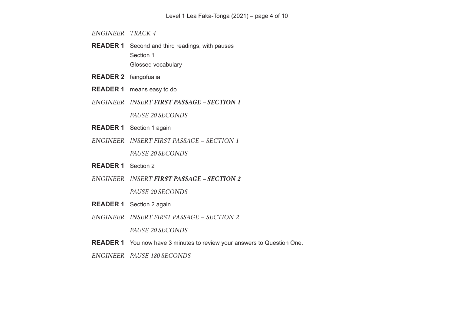- **READER 1** Second and third readings, with pauses Section 1 Glossed vocabulary
- **READER 2** faingofuaʻia
- **READER 1** means easy to do
- *ENGINEER INSERT FIRST PASSAGE SECTION 1*

*PAUSE 20 SECONDS*

- **READER 1** Section 1 again
- *ENGINEER INSERT FIRST PASSAGE SECTION 1*

*PAUSE 20 SECONDS*

- **READER 1** Section 2
- *ENGINEER INSERT FIRST PASSAGE SECTION 2*

*PAUSE 20 SECONDS*

- **READER 1** Section 2 again
- *ENGINEER INSERT FIRST PASSAGE SECTION 2*

*PAUSE 20 SECONDS*

- **READER 1** You now have 3 minutes to review your answers to Question One.
- *ENGINEER PAUSE 180 SECONDS*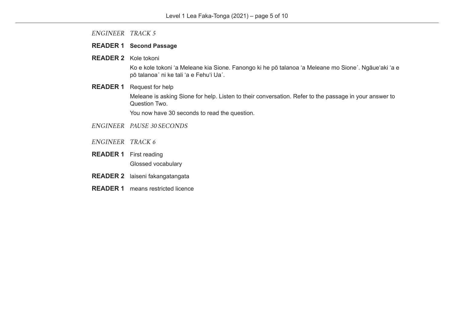### **READER 1 Second Passage**

**READER 2** Kole tokoni

Ko e kole tokoni ʻa Meleane kia Sione. Fanongo ki he pō talanoa ʻa Meleane mo Sione´. Ngāueʻaki ʻa e pō talanoaˊ ni ke tali ʻa e Fehuʻi Uaˊ.

## **READER 1** Request for help

Meleane is asking Sione for help. Listen to their conversation. Refer to the passage in your answer to Question Two.

You now have 30 seconds to read the question.

- *ENGINEER PAUSE 30 SECONDS*
- *ENGINEER TRACK 6*
- **READER 1** First reading Glossed vocabulary
- **READER 2** laiseni fakangatangata
- **READER 1** means restricted licence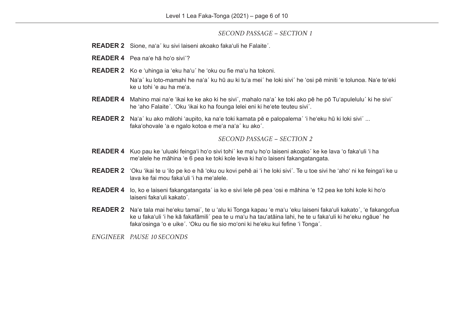## *SECOND PASSAGE – SECTION 1*

- **READER 2** Sione, naʻa´ ku sivi laiseni akoako fakaʻuli he Falaite´.
- **READER 4** Pea naʻe hā hoʻo sivi´?
- **READER 2** Ko e ʻuhinga ia ʻeku haʻu´ he ʻoku ou fie maʻu ha tokoni.

Naʻa´ ku loto-mamahi he naʻa´ ku hū au ki tuʻa mei´ he loki sivi´ he ʻosi pē miniti ʻe tolunoa. Naʻe teʻeki ke u tohi ʻe au ha meʻa.

- **READER 4** Mahino mai naʻe ʻikai ke ke ako ki he sivi´, mahalo naʻa´ ke toki ako pē he pō Tuʻapulelulu´ ki he sivi´ he ʻaho Falaite´. ʻOku ʻikai ko ha founga lelei eni ki heʻete teuteu sivi´.
- **READER 2** Naʻa´ ku ako mālohi ʻaupito, ka naʻe toki kamata pē e palopalema´ ʻi heʻeku hū ki loki sivi´ ... fakaʻohovale ʻa e ngalo kotoa e meʻa naʻa´ ku ako´.

## *SECOND PASSAGE – SECTION 2*

- **READER 4** Kuo pau ke ʻuluaki feingaʻi hoʻo sivi tohi´ ke maʻu hoʻo laiseni akoako´ ke ke lava ʻo fakaʻuli ʻi ha meʻalele he māhina ʻe 6 pea ke toki kole leva ki haʻo laiseni fakangatangata.
- **READER 2** ʻOku ʻikai te u ʻilo pe ko e hā ʻoku ou kovi pehē ai ʻi he loki sivi´. Te u toe sivi he ʻahoʻ ni ke feingaʻi ke u lava ke fai mou fakaʻuli ʻi ha meʻalele.
- **READER 4** Io, ko e laiseni fakangatangata´ ia ko e sivi lele pē pea ʻosi e māhina ʻe 12 pea ke tohi kole ki hoʻo laiseni fakaʻuli kakato´.
- **READER 2** Naʻe tala mai heʻeku tamai´, te u ʻalu ki Tonga kapau ʻe maʻu ʻeku laiseni fakaʻuli kakato´, ʻe fakangofua ke u fakaʻuli 'i he kā fakafāmili´ pea te u maʻu ha tauʻatāina lahi, he te u fakaʻuli ki heʻeku ngāue´ he fakaʻosinga ʻo e uike´. ʻOku ou fie sio moʻoni ki heʻeku kui fefine ʻi Tonga´.

*ENGINEER PAUSE 10 SECONDS*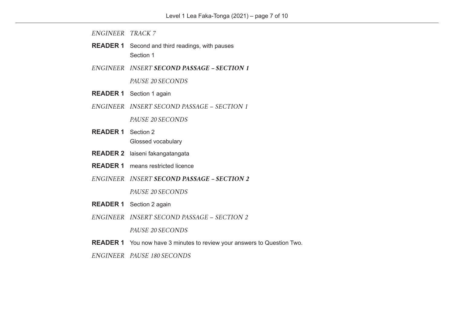- **READER 1** Second and third readings, with pauses Section 1
- *ENGINEER INSERT SECOND PASSAGE SECTION 1*

*PAUSE 20 SECONDS*

- **READER 1** Section 1 again
- *ENGINEER INSERT SECOND PASSAGE SECTION 1*

*PAUSE 20 SECONDS*

- **READER 1** Section 2 Glossed vocabulary
- **READER 2** laiseni fakangatangata
- **READER 1** means restricted licence
- *ENGINEER INSERT SECOND PASSAGE SECTION 2*

*PAUSE 20 SECONDS*

- **READER 1** Section 2 again
- *ENGINEER INSERT SECOND PASSAGE SECTION 2*

*PAUSE 20 SECONDS*

- **READER 1** You now have 3 minutes to review your answers to Question Two.
- *ENGINEER PAUSE 180 SECONDS*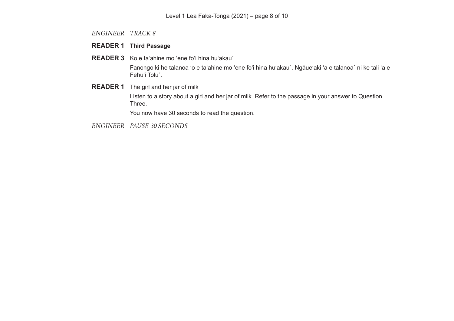# **READER 1 Third Passage**

**READER 3** Ko e taʻahine mo ʻene foʻi hina huʻakauˊ

Fanongo ki he talanoa ʻo e taʻahine mo ʻene foʻi hina huʻakauˊ. Ngāueʻaki ʻa e talanoaˊ ni ke tali ʻa e Fehuʻi Toluˊ.

**READER 1** The girl and her jar of milk

Listen to a story about a girl and her jar of milk. Refer to the passage in your answer to Question Three.

You now have 30 seconds to read the question.

*ENGINEER PAUSE 30 SECONDS*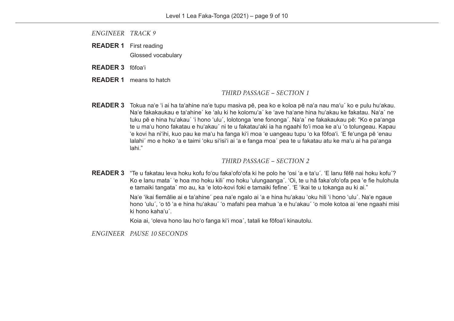- **READER 1** First reading Glossed vocabulary
- **READER 3** fōfoaʻi
- **READER 1** means to hatch

## *THIRD PASSAGE – SECTION 1*

**READER 3** Tokua naʻe ʻi ai ha taʻahine naʻe tupu masiva pē, pea ko e koloa pē naʻa nau maʻu´ ko e pulu huʻakau. Naʻe fakakaukau e taʻahine´ ke ʻalu ki he kolomuʻa´ ke ʻave haʻane hina huʻakau ke fakatau. Naʻa´ ne tuku pē e hina huʻakau´ ʻi hono ʻulu´, lolotonga ʻene fononga´. Naʻa´ ne fakakaukau pē: "Ko e paʻanga te u maʻu hono fakatau e huʻakau´ ni te u fakatauʻaki ia ha ngaahi foʻi moa ke aʻu ʻo tolungeau. Kapau ʻe kovi ha niʻihi, kuo pau ke maʻu ha fanga kiʻi moa ʻe uangeau tupu ʻo ka fōfoaʻi. ʻE feʻunga pē ʻenau lalahi´ mo e hoko ʻa e taimi ʻoku siʻisiʻi ai ʻa e fanga moa´ pea te u fakatau atu ke maʻu ai ha paʻanga lahi."

## *THIRD PASSAGE – SECTION 2*

**READER 3** "Te u fakatau leva hoku kofu foʻou fakaʻofoʻofa ki he polo he ʻosi ʻa e taʻu´. ʻE lanu fēfē nai hoku kofu´? Ko e lanu mataˊ ʻe hoa mo hoku kili´ mo hoku ʻulungaanga´. ʻOi, te u hā fakaʻofoʻofa pea ʻe fie hulohula e tamaiki tangata´ mo au, ka ʻe loto-kovi foki e tamaiki fefine´. ʻE ʻikai te u tokanga au ki ai."

> Naʻe ʻikai fiemālie ai e taʻahine´ pea naʻe ngalo ai ʻa e hina huʻakau ʻoku hili ʻi hono ʻulu´. Naʻe ngaue hono ʻulu´, ʻo tō ʻa e hina huʻakau´ ʻo mafahi pea mahua ʻa e huʻakau´ ʻo mole kotoa ai ʻene ngaahi misi ki hono kahaʻu´.

Koia ai, ʻoleva hono lau hoʻo fanga kiʻi moa´, tatali ke fōfoaʻi kinautolu.

*ENGINEER PAUSE 10 SECONDS*